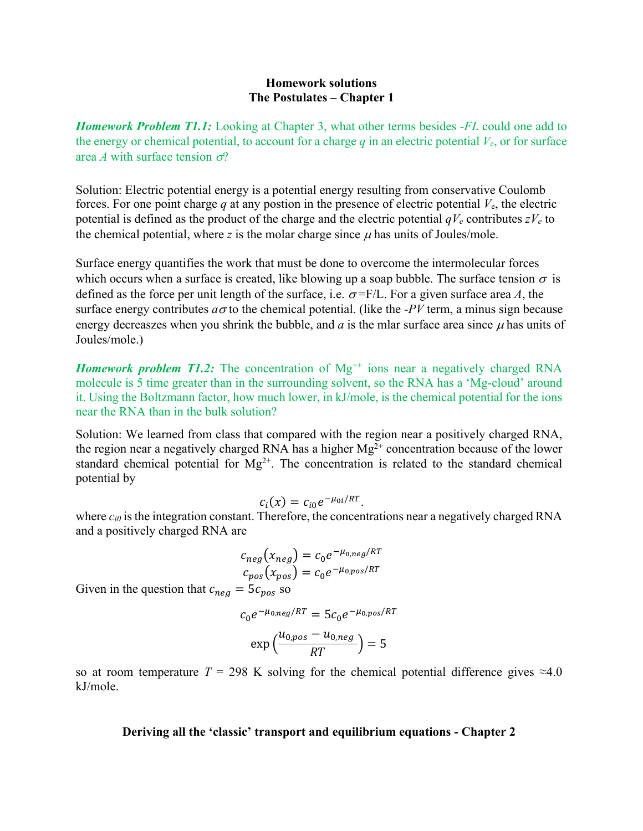## **Homework solutions The Postulates – Chapter 1**

*Homework Problem T1.1:* Looking at Chapter 3, what other terms besides -*FL* could one add to the energy or chemical potential, to account for a charge  $q$  in an electric potential  $V_e$ , or for surface area *A* with surface tension  $\sigma$ ?

Solution: Electric potential energy is a potential energy resulting from conservative Coulomb forces. For one point charge  $q$  at any postion in the presence of electric potential  $V_{e}$ , the electric potential is defined as the product of the charge and the electric potential  $qV_e$  contributes  $zV_e$  to the chemical potential, where z is the molar charge since  $\mu$  has units of Joules/mole.

Surface energy quantifies the work that must be done to overcome the intermolecular forces which occurs when a surface is created, like blowing up a soap bubble. The surface tension  $\sigma$  is defined as the force per unit length of the surface, i.e.  $\sigma = F/L$ . For a given surface area *A*, the surface energy contributes  $a\sigma$  to the chemical potential. (like the *-PV* term, a minus sign because energy decreaszes when you shrink the bubble, and  $a$  is the mlar surface area since  $\mu$  has units of Joules/mole.)

*Homework problem T1.2:* The concentration of  $Mg^{++}$  ions near a negatively charged RNA molecule is 5 time greater than in the surrounding solvent, so the RNA has a 'Mg-cloud' around it. Using the Boltzmann factor, how much lower, in kJ/mole, is the chemical potential for the ions near the RNA than in the bulk solution?

Solution: We learned from class that compared with the region near a positively charged RNA, the region near a negatively charged RNA has a higher  $Mg^{2+}$  concentration because of the lower standard chemical potential for  $Mg^{2+}$ . The concentration is related to the standard chemical potential by

$$
c_i(x) = c_{i0}e^{-\mu_{0i}/RT}.
$$

where  $c_{i0}$  is the integration constant. Therefore, the concentrations near a negatively charged RNA and a positively charged RNA are

$$
c_{neg}(x_{neg}) = c_0 e^{-\mu_{0,neg}/RT}
$$
  

$$
c_{pos}(x_{pos}) = c_0 e^{-\mu_{0,pos}/RT}
$$

Given in the question that  $c_{neq} = 5c_{pos}$  so

 $c_0 e^{-\mu_{0,neg}/RT} = 5c_0 e^{-\mu_{0,pos}/RT}$ 

$$
\exp\left(\frac{u_{0,pos} - u_{0,neg}}{RT}\right) = 5
$$

so at room temperature  $T = 298$  K solving for the chemical potential difference gives  $\approx 4.0$ kJ/mole.

## **Deriving all the 'classic' transport and equilibrium equations - Chapter 2**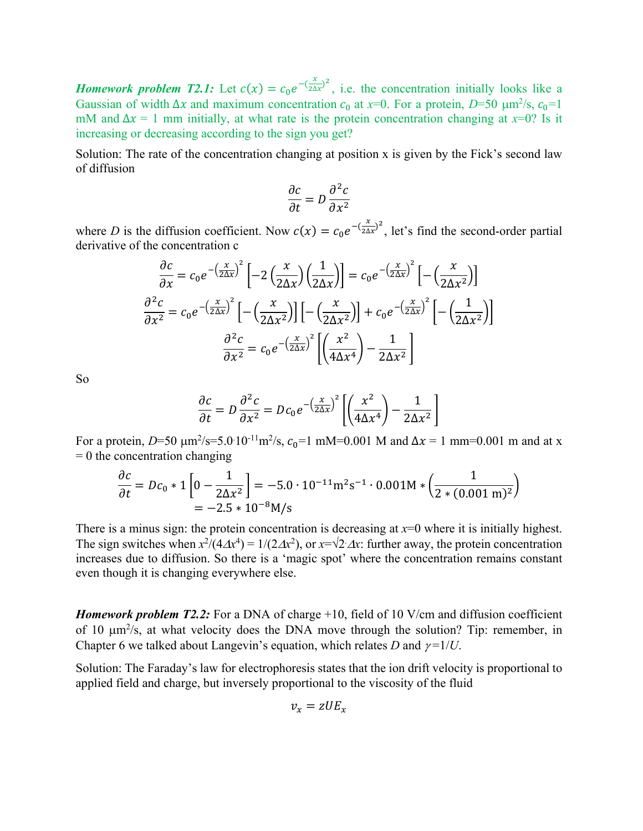*Homework problem T2.1:* Let  $c(x) = c_0 e^{-(\frac{x}{2\Delta x})^2}$ , i.e. the concentration initially looks like a Gaussian of width  $\Delta x$  and maximum concentration  $c_0$  at  $x=0$ . For a protein,  $D=50 \mu m^2/s$ ,  $c_0=1$ mM and  $\Delta x = 1$  mm initially, at what rate is the protein concentration changing at  $x=0$ ? Is it increasing or decreasing according to the sign you get?

Solution: The rate of the concentration changing at position x is given by the Fick's second law of diffusion

$$
\frac{\partial c}{\partial t} = D \frac{\partial^2 c}{\partial x^2}
$$

where *D* is the diffusion coefficient. Now  $c(x) = c_0 e^{-(\frac{x}{2\Delta x})^2}$ , let's find the second-order partial derivative of the concentration c

$$
\frac{\partial c}{\partial x} = c_0 e^{-\left(\frac{x}{2\Delta x}\right)^2} \left[ -2\left(\frac{x}{2\Delta x}\right) \left(\frac{1}{2\Delta x}\right) \right] = c_0 e^{-\left(\frac{x}{2\Delta x}\right)^2} \left[ -\left(\frac{x}{2\Delta x^2}\right) \right]
$$

$$
\frac{\partial^2 c}{\partial x^2} = c_0 e^{-\left(\frac{x}{2\Delta x}\right)^2} \left[ -\left(\frac{x}{2\Delta x^2}\right) \right] \left[ -\left(\frac{x}{2\Delta x^2}\right) \right] + c_0 e^{-\left(\frac{x}{2\Delta x}\right)^2} \left[ -\left(\frac{1}{2\Delta x^2}\right) \right]
$$

$$
\frac{\partial^2 c}{\partial x^2} = c_0 e^{-\left(\frac{x}{2\Delta x}\right)^2} \left[ \left(\frac{x^2}{4\Delta x^4}\right) - \frac{1}{2\Delta x^2} \right]
$$

So

$$
\frac{\partial c}{\partial t} = D \frac{\partial^2 c}{\partial x^2} = D c_0 e^{-\left(\frac{x}{2\Delta x}\right)^2} \left[ \left(\frac{x^2}{4\Delta x^4}\right) - \frac{1}{2\Delta x^2} \right]
$$

For a protein, *D*=50  $\mu$ m<sup>2</sup>/s=5.0·10<sup>-11</sup>m<sup>2</sup>/s,  $c_0$ =1 mM=0.001 M and  $\Delta x$  = 1 mm=0.001 m and at x  $= 0$  the concentration changing

$$
\frac{\partial c}{\partial t} = Dc_0 * 1 \left[ 0 - \frac{1}{2\Delta x^2} \right] = -5.0 \cdot 10^{-11} \text{m}^2 \text{s}^{-1} \cdot 0.001 \text{M} * \left( \frac{1}{2 * (0.001 \text{ m})^2} \right)
$$
  
= -2.5 \* 10<sup>-8</sup>M/s

There is a minus sign: the protein concentration is decreasing at  $x=0$  where it is initially highest. The sign switches when  $x^2/(4\Delta x^4) = 1/(2\Delta x^2)$ , or  $x=\sqrt{2}\Delta x$ : further away, the protein concentration increases due to diffusion. So there is a 'magic spot' where the concentration remains constant even though it is changing everywhere else.

*Homework problem T2.2:* For a DNA of charge +10, field of 10 V/cm and diffusion coefficient of 10  $\mu$ m<sup>2</sup>/s, at what velocity does the DNA move through the solution? Tip: remember, in Chapter 6 we talked about Langevin's equation, which relates *D* and  $\gamma = 1/U$ .

Solution: The Faraday's law for electrophoresis states that the ion drift velocity is proportional to applied field and charge, but inversely proportional to the viscosity of the fluid

$$
v_x = zUE_x
$$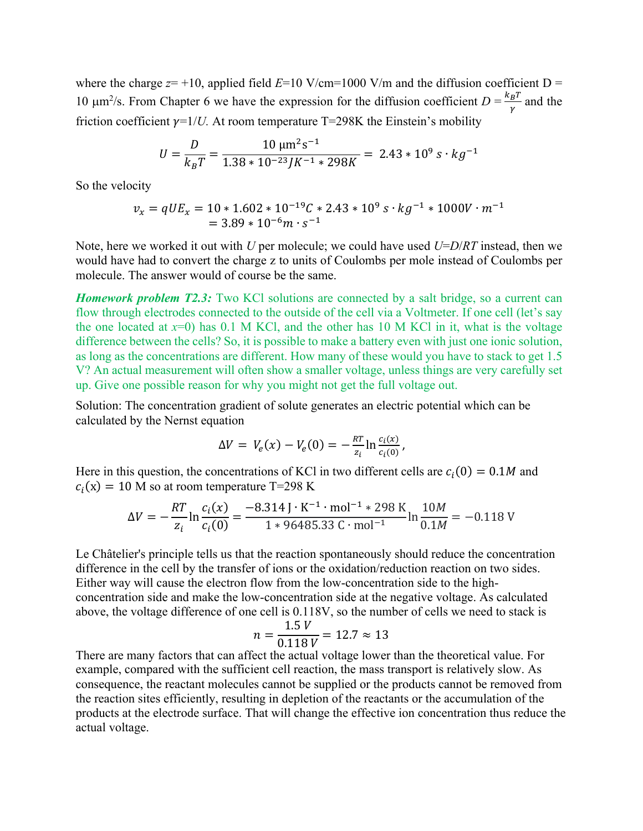where the charge  $z=+10$ , applied field  $E=10$  V/cm=1000 V/m and the diffusion coefficient D = 10  $\mu$ m<sup>2</sup>/s. From Chapter 6 we have the expression for the diffusion coefficient  $D = \frac{k_B T}{r}$  $\frac{B^I}{\gamma}$  and the friction coefficient  $\gamma=1/U$ . At room temperature T=298K the Einstein's mobility

$$
U = \frac{D}{k_B T} = \frac{10 \, \mu \text{m}^2 \text{s}^{-1}}{1.38 \times 10^{-23} J K^{-1} \times 298 K} = 2.43 \times 10^9 \, \text{s} \cdot \text{kg}^{-1}
$$

So the velocity

$$
v_x = qUE_x = 10 * 1.602 * 10^{-19}C * 2.43 * 10^9 s \cdot kg^{-1} * 1000V \cdot m^{-1}
$$
  
= 3.89 \* 10<sup>-6</sup>m · s<sup>-1</sup>

Note, here we worked it out with *U* per molecule; we could have used *U*=*D*/*RT* instead, then we would have had to convert the charge z to units of Coulombs per mole instead of Coulombs per molecule. The answer would of course be the same.

*Homework problem T2.3:* Two KCl solutions are connected by a salt bridge, so a current can flow through electrodes connected to the outside of the cell via a Voltmeter. If one cell (let's say the one located at  $x=0$ ) has 0.1 M KCl, and the other has 10 M KCl in it, what is the voltage difference between the cells? So, it is possible to make a battery even with just one ionic solution, as long as the concentrations are different. How many of these would you have to stack to get 1.5 V? An actual measurement will often show a smaller voltage, unless things are very carefully set up. Give one possible reason for why you might not get the full voltage out.

Solution: The concentration gradient of solute generates an electric potential which can be calculated by the Nernst equation

$$
\Delta V = V_e(x) - V_e(0) = -\frac{RT}{z_i} \ln \frac{c_i(x)}{c_i(0)},
$$

Here in this question, the concentrations of KCl in two different cells are  $c_i(0) = 0.1M$  and  $c_i(x) = 10$  M so at room temperature T=298 K

$$
\Delta V = -\frac{RT}{z_i} \ln \frac{c_i(x)}{c_i(0)} = \frac{-8.314 \text{ J} \cdot \text{K}^{-1} \cdot \text{mol}^{-1} \cdot 298 \text{ K}}{1 \cdot 96485.33 \text{ C} \cdot \text{mol}^{-1}} \ln \frac{10M}{0.1M} = -0.118 \text{ V}
$$

Le Châtelier's principle tells us that the reaction spontaneously should reduce the concentration difference in the cell by the transfer of ions or the oxidation/reduction reaction on two sides. Either way will cause the electron flow from the low-concentration side to the highconcentration side and make the low-concentration side at the negative voltage. As calculated above, the voltage difference of one cell is 0.118V, so the number of cells we need to stack is

$$
n = \frac{1.5 V}{0.118 V} = 12.7 \approx 13
$$

There are many factors that can affect the actual voltage lower than the theoretical value. For example, compared with the sufficient cell reaction, the mass transport is relatively slow. As consequence, the reactant molecules cannot be supplied or the products cannot be removed from the reaction sites efficiently, resulting in depletion of the reactants or the accumulation of the products at the electrode surface. That will change the effective ion concentration thus reduce the actual voltage.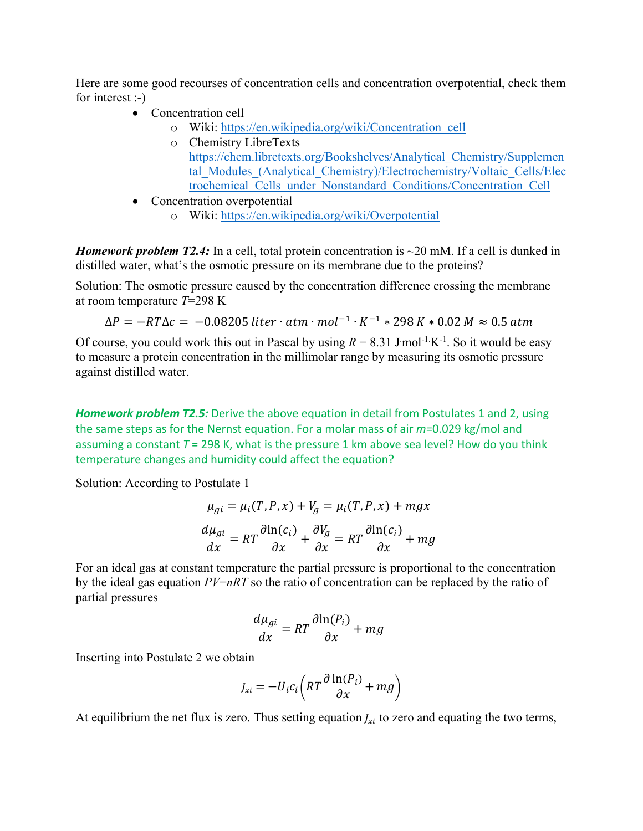Here are some good recourses of concentration cells and concentration overpotential, check them for interest :-)

- Concentration cell
	- o Wiki: https://en.wikipedia.org/wiki/Concentration\_cell
	- o Chemistry LibreTexts https://chem.libretexts.org/Bookshelves/Analytical\_Chemistry/Supplemen tal Modules (Analytical Chemistry)/Electrochemistry/Voltaic Cells/Elec trochemical\_Cells\_under\_Nonstandard\_Conditions/Concentration\_Cell
- Concentration overpotential
	- o Wiki: https://en.wikipedia.org/wiki/Overpotential

*Homework problem T2.4:* In a cell, total protein concentration is ~20 mM. If a cell is dunked in distilled water, what's the osmotic pressure on its membrane due to the proteins?

Solution: The osmotic pressure caused by the concentration difference crossing the membrane at room temperature *T*=298 K

$$
\Delta P = -RT\Delta c = -0.08205 \text{ liter} \cdot \text{atm} \cdot \text{mol}^{-1} \cdot K^{-1} * 298 \text{ K} * 0.02 \text{ M} \approx 0.5 \text{ atm}
$$

Of course, you could work this out in Pascal by using  $R = 8.31$  J mol<sup>-1</sup> K<sup>-1</sup>. So it would be easy to measure a protein concentration in the millimolar range by measuring its osmotic pressure against distilled water.

**Homework problem T2.5:** Derive the above equation in detail from Postulates 1 and 2, using the same steps as for the Nernst equation. For a molar mass of air *m*=0.029 kg/mol and assuming a constant *T* = 298 K, what is the pressure 1 km above sea level? How do you think temperature changes and humidity could affect the equation?

Solution: According to Postulate 1

$$
\mu_{gi} = \mu_i(T, P, x) + V_g = \mu_i(T, P, x) + mgx
$$

$$
\frac{d\mu_{gi}}{dx} = RT \frac{\partial \ln(c_i)}{\partial x} + \frac{\partial V_g}{\partial x} = RT \frac{\partial \ln(c_i)}{\partial x} + mg
$$

For an ideal gas at constant temperature the partial pressure is proportional to the concentration by the ideal gas equation *PV*=*nRT* so the ratio of concentration can be replaced by the ratio of partial pressures

$$
\frac{d\mu_{gi}}{dx} = RT \frac{\partial \ln(P_i)}{\partial x} + mg
$$

Inserting into Postulate 2 we obtain

$$
J_{xi} = -U_i c_i \left( RT \frac{\partial \ln(P_i)}{\partial x} + mg \right)
$$

At equilibrium the net flux is zero. Thus setting equation  $J_{xi}$  to zero and equating the two terms,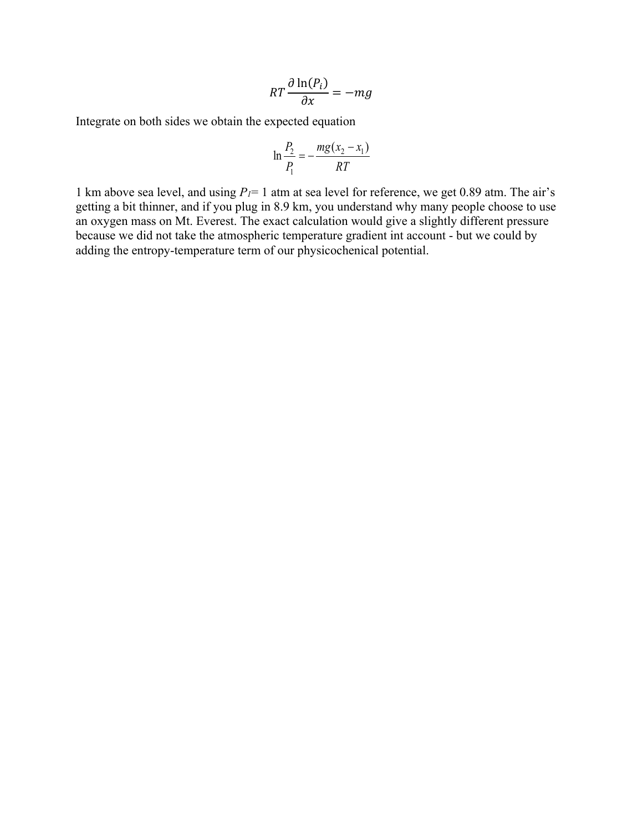$$
RT\frac{\partial \ln(P_i)}{\partial x} = -mg
$$

Integrate on both sides we obtain the expected equation

$$
\ln \frac{P_2}{P_1} = -\frac{mg(x_2 - x_1)}{RT}
$$

1 km above sea level, and using  $P_I = 1$  atm at sea level for reference, we get 0.89 atm. The air's getting a bit thinner, and if you plug in 8.9 km, you understand why many people choose to use an oxygen mass on Mt. Everest. The exact calculation would give a slightly different pressure because we did not take the atmospheric temperature gradient int account - but we could by adding the entropy-temperature term of our physicochenical potential.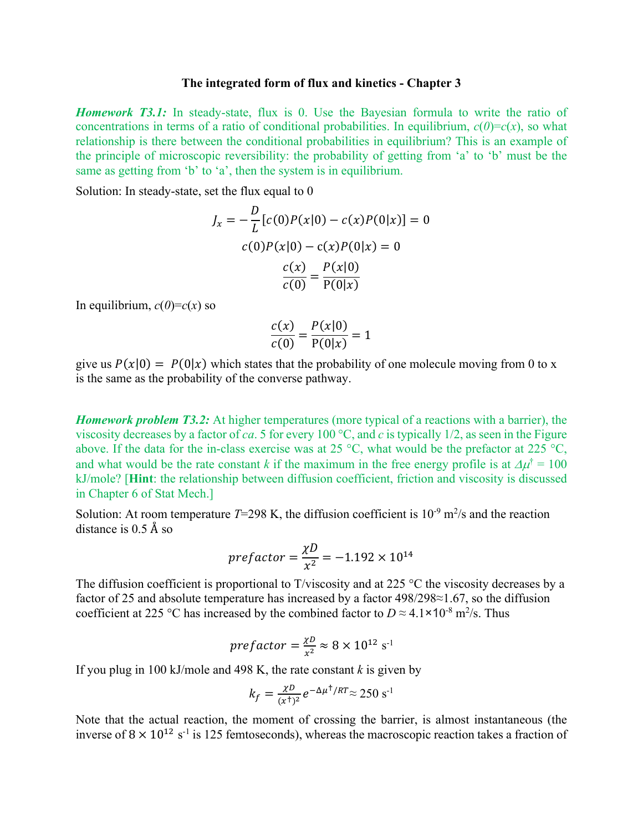## **The integrated form of flux and kinetics - Chapter 3**

*Homework T3.1:* In steady-state, flux is 0. Use the Bayesian formula to write the ratio of concentrations in terms of a ratio of conditional probabilities. In equilibrium,  $c(0)=c(x)$ , so what relationship is there between the conditional probabilities in equilibrium? This is an example of the principle of microscopic reversibility: the probability of getting from 'a' to 'b' must be the same as getting from 'b' to 'a', then the system is in equilibrium.

Solution: In steady-state, set the flux equal to 0

$$
J_x = -\frac{D}{L} [c(0)P(x|0) - c(x)P(0|x)] = 0
$$
  

$$
c(0)P(x|0) - c(x)P(0|x) = 0
$$
  

$$
\frac{c(x)}{c(0)} = \frac{P(x|0)}{P(0|x)}
$$

In equilibrium,  $c(0)=c(x)$  so

$$
\frac{c(x)}{c(0)} = \frac{P(x|0)}{P(0|x)} = 1
$$

give us  $P(x|0) = P(0|x)$  which states that the probability of one molecule moving from 0 to x is the same as the probability of the converse pathway.

*Homework problem T3.2:* At higher temperatures (more typical of a reactions with a barrier), the viscosity decreases by a factor of *ca*. 5 for every 100 °C, and *c* is typically 1/2, as seen in the Figure above. If the data for the in-class exercise was at 25 °C, what would be the prefactor at 225 °C, and what would be the rate constant *k* if the maximum in the free energy profile is at  $\Delta \mu^{\dagger} = 100$ kJ/mole? [**Hint**: the relationship between diffusion coefficient, friction and viscosity is discussed in Chapter 6 of Stat Mech.]

Solution: At room temperature  $T=298$  K, the diffusion coefficient is  $10^{-9}$  m<sup>2</sup>/s and the reaction distance is 0.5 Å so

$$
prefactor = \frac{\chi D}{x^2} = -1.192 \times 10^{14}
$$

The diffusion coefficient is proportional to T/viscosity and at 225  $\degree$ C the viscosity decreases by a factor of 25 and absolute temperature has increased by a factor 498/298≈1.67, so the diffusion coefficient at 225 °C has increased by the combined factor to  $D \approx 4.1 \times 10^{-8}$  m<sup>2</sup>/s. Thus

$$
prefactor=\frac{\chi D}{x^2}\approx 8\times 10^{12} \text{ s}^{-1}
$$

If you plug in 100 kJ/mole and 498 K, the rate constant  $k$  is given by

$$
k_f = \frac{\chi D}{(x^{\dagger})^2} e^{-\Delta \mu^{\dagger}/RT} \approx 250 \text{ s}^{-1}
$$

Note that the actual reaction, the moment of crossing the barrier, is almost instantaneous (the inverse of  $8 \times 10^{12}$  s<sup>-1</sup> is 125 femtoseconds), whereas the macroscopic reaction takes a fraction of